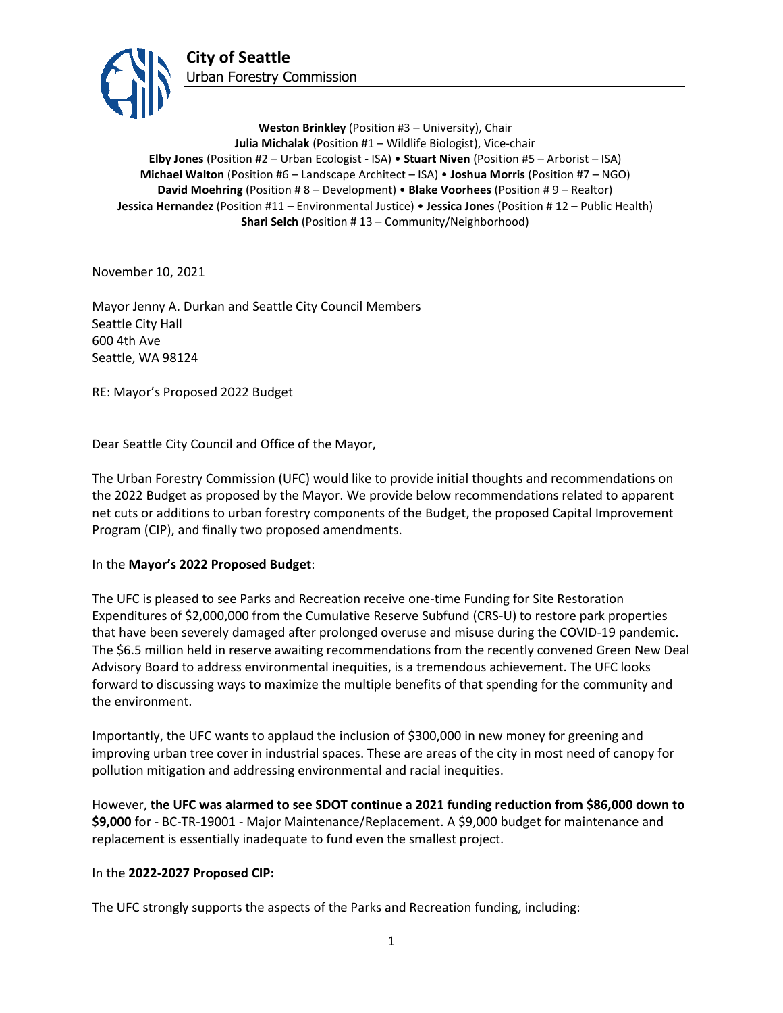

**Weston Brinkley** (Position #3 – University), Chair **Julia Michalak** (Position #1 – Wildlife Biologist), Vice-chair **Elby Jones** (Position #2 – Urban Ecologist - ISA) • **Stuart Niven** (Position #5 – Arborist – ISA) **Michael Walton** (Position #6 – Landscape Architect – ISA) • **Joshua Morris** (Position #7 – NGO) **David Moehring** (Position # 8 – Development) • **Blake Voorhees** (Position # 9 – Realtor) **Jessica Hernandez** (Position #11 – Environmental Justice) • **Jessica Jones** (Position # 12 – Public Health) **Shari Selch** (Position #13 – Community/Neighborhood)

November 10, 2021

Mayor Jenny A. Durkan and Seattle City Council Members Seattle City Hall 600 4th Ave Seattle, WA 98124

RE: Mayor's Proposed 2022 Budget

Dear Seattle City Council and Office of the Mayor,

The Urban Forestry Commission (UFC) would like to provide initial thoughts and recommendations on the 2022 Budget as proposed by the Mayor. We provide below recommendations related to apparent net cuts or additions to urban forestry components of the Budget, the proposed Capital Improvement Program (CIP), and finally two proposed amendments.

## In the **Mayor's 2022 Proposed Budget**:

The UFC is pleased to see Parks and Recreation receive one-time Funding for Site Restoration Expenditures of \$2,000,000 from the Cumulative Reserve Subfund (CRS-U) to restore park properties that have been severely damaged after prolonged overuse and misuse during the COVID-19 pandemic. The \$6.5 million held in reserve awaiting recommendations from the recently convened Green New Deal Advisory Board to address environmental inequities, is a tremendous achievement. The UFC looks forward to discussing ways to maximize the multiple benefits of that spending for the community and the environment.

Importantly, the UFC wants to applaud the inclusion of \$300,000 in new money for greening and improving urban tree cover in industrial spaces. These are areas of the city in most need of canopy for pollution mitigation and addressing environmental and racial inequities.

However, **the UFC was alarmed to see SDOT continue a 2021 funding reduction from \$86,000 down to \$9,000** for - BC-TR-19001 - Major Maintenance/Replacement. A \$9,000 budget for maintenance and replacement is essentially inadequate to fund even the smallest project.

## In the **2022-2027 Proposed CIP:**

The UFC strongly supports the aspects of the Parks and Recreation funding, including: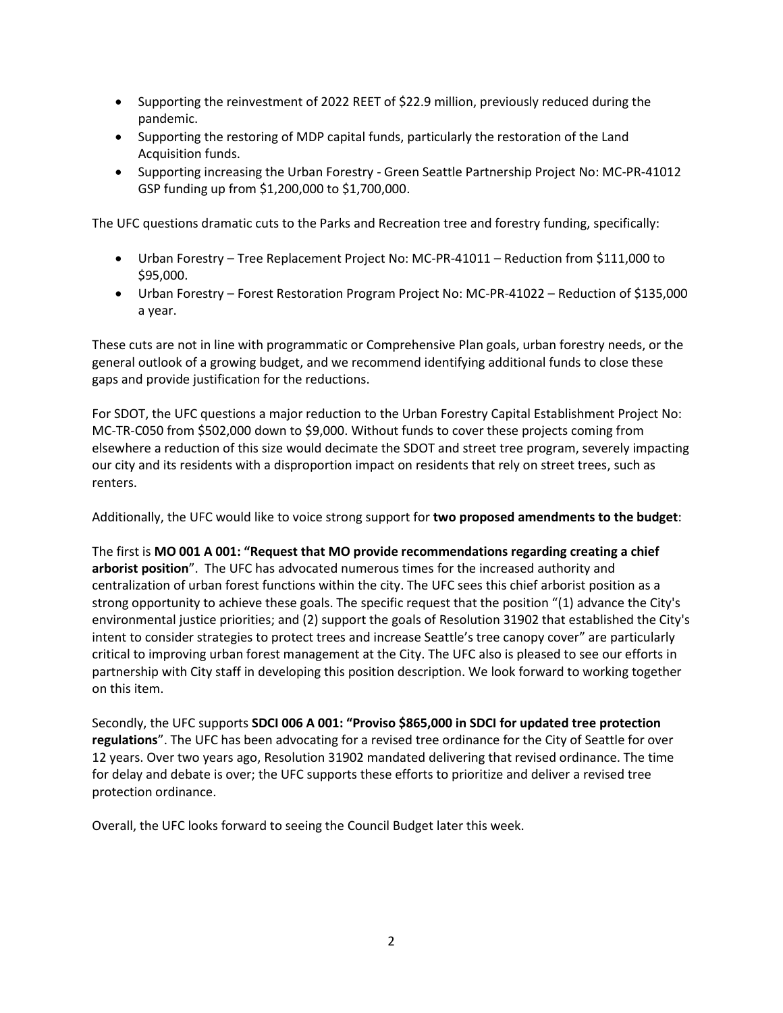- Supporting the reinvestment of 2022 REET of \$22.9 million, previously reduced during the pandemic.
- Supporting the restoring of MDP capital funds, particularly the restoration of the Land Acquisition funds.
- Supporting increasing the Urban Forestry Green Seattle Partnership Project No: MC-PR-41012 GSP funding up from \$1,200,000 to \$1,700,000.

The UFC questions dramatic cuts to the Parks and Recreation tree and forestry funding, specifically:

- Urban Forestry Tree Replacement Project No: MC-PR-41011 Reduction from \$111,000 to \$95,000.
- Urban Forestry Forest Restoration Program Project No: MC-PR-41022 Reduction of \$135,000 a year.

These cuts are not in line with programmatic or Comprehensive Plan goals, urban forestry needs, or the general outlook of a growing budget, and we recommend identifying additional funds to close these gaps and provide justification for the reductions.

For SDOT, the UFC questions a major reduction to the Urban Forestry Capital Establishment Project No: MC-TR-C050 from \$502,000 down to \$9,000. Without funds to cover these projects coming from elsewhere a reduction of this size would decimate the SDOT and street tree program, severely impacting our city and its residents with a disproportion impact on residents that rely on street trees, such as renters.

Additionally, the UFC would like to voice strong support for **two proposed amendments to the budget**:

The first is **MO 001 A 001: "Request that MO provide recommendations regarding creating a chief arborist position**". The UFC has advocated numerous times for the increased authority and centralization of urban forest functions within the city. The UFC sees this chief arborist position as a strong opportunity to achieve these goals. The specific request that the position "(1) advance the City's environmental justice priorities; and (2) support the goals of Resolution 31902 that established the City's intent to consider strategies to protect trees and increase Seattle's tree canopy cover" are particularly critical to improving urban forest management at the City. The UFC also is pleased to see our efforts in partnership with City staff in developing this position description. We look forward to working together on this item.

Secondly, the UFC supports **SDCI 006 A 001: "Proviso \$865,000 in SDCI for updated tree protection regulations**". The UFC has been advocating for a revised tree ordinance for the City of Seattle for over 12 years. Over two years ago, Resolution 31902 mandated delivering that revised ordinance. The time for delay and debate is over; the UFC supports these efforts to prioritize and deliver a revised tree protection ordinance.

Overall, the UFC looks forward to seeing the Council Budget later this week.